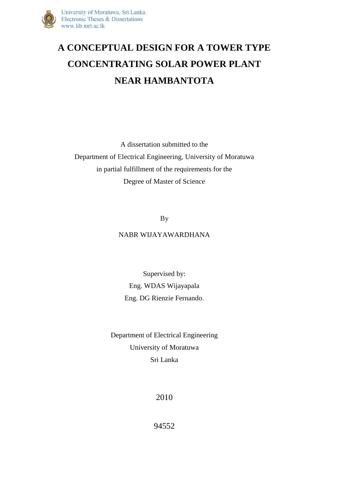

## **A CONCEPTUAL DESIGN FOR A TOWER TYPE CONCENTRATING SOLAR POWER PLANT NEAR HAMBANTOTA**

A dissertation submitted to the Department of Electrical Engineering, University of Moratuwa in partial fulfillment of the requirements for the Degree of Master of Science

By

## NABR WIJAYAWARDHANA

Supervised by: Eng. WDAS Wijayapala Eng. DG Rienzie Fernando.

Department of Electrical Engineering University of Moratuwa Sri Lanka

2010

94552